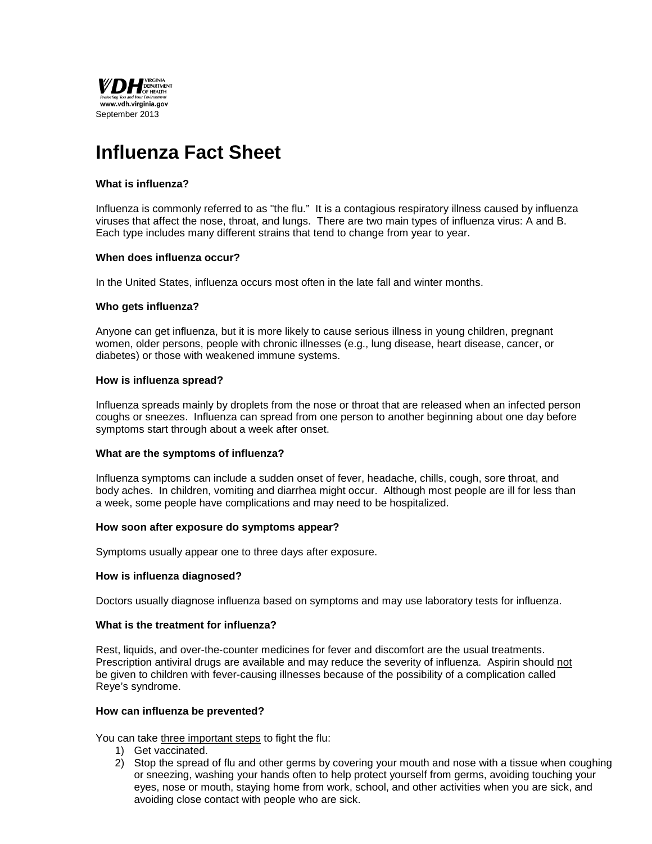

# **Influenza Fact Sheet**

## **What is influenza?**

Influenza is commonly referred to as "the flu." It is a contagious respiratory illness caused by influenza viruses that affect the nose, throat, and lungs. There are two main types of influenza virus: A and B. Each type includes many different strains that tend to change from year to year.

# **When does influenza occur?**

In the United States, influenza occurs most often in the late fall and winter months.

# **Who gets influenza?**

Anyone can get influenza, but it is more likely to cause serious illness in young children, pregnant women, older persons, people with chronic illnesses (e.g., lung disease, heart disease, cancer, or diabetes) or those with weakened immune systems.

# **How is influenza spread?**

Influenza spreads mainly by droplets from the nose or throat that are released when an infected person coughs or sneezes. Influenza can spread from one person to another beginning about one day before symptoms start through about a week after onset.

#### **What are the symptoms of influenza?**

Influenza symptoms can include a sudden onset of fever, headache, chills, cough, sore throat, and body aches. In children, vomiting and diarrhea might occur. Although most people are ill for less than a week, some people have complications and may need to be hospitalized.

#### **How soon after exposure do symptoms appear?**

Symptoms usually appear one to three days after exposure.

#### **How is influenza diagnosed?**

Doctors usually diagnose influenza based on symptoms and may use laboratory tests for influenza.

#### **What is the treatment for influenza?**

Rest, liquids, and over-the-counter medicines for fever and discomfort are the usual treatments. Prescription antiviral drugs are available and may reduce the severity of influenza. Aspirin should not be given to children with fever-causing illnesses because of the possibility of a complication called Reye's syndrome.

#### **How can influenza be prevented?**

You can take three important steps to fight the flu:

- 1) Get vaccinated.
- 2) Stop the spread of flu and other germs by covering your mouth and nose with a tissue when coughing or sneezing, washing your hands often to help protect yourself from germs, avoiding touching your eyes, nose or mouth, staying home from work, school, and other activities when you are sick, and avoiding close contact with people who are sick.